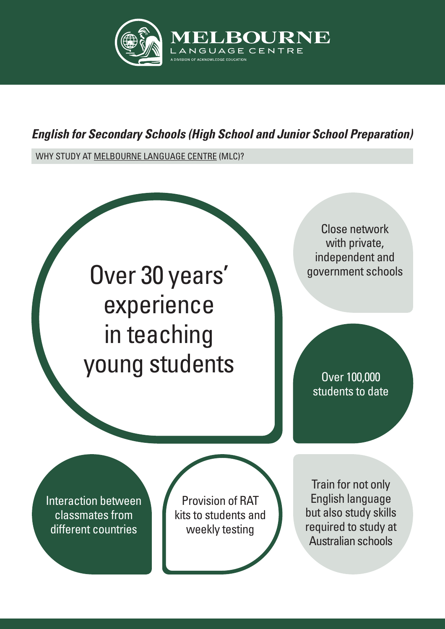

## *English for Secondary Schools (High School and Junior School Preparation)*

WHY STUDY AT MELBOURNE LANGUAGE CENTRE (MLC)?

Over 30 years' experience in teaching young students

Close network with private, independent and government schools

Over 100,000 students to date

Interaction between classmates from different countries

Provision of RAT kits to students and weekly testing

Train for not only English language but also study skills required to study at Australian schools